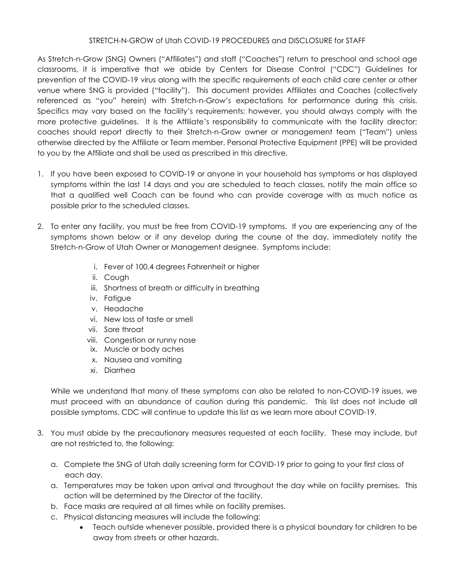## STRETCH-N-GROW of Utah COVID-19 PROCEDURES and DISCLOSURE for STAFF

As Stretch-n-Grow (SNG) Owners ("Affiliates") and staff ("Coaches") return to preschool and school age classrooms, it is imperative that we abide by Centers for Disease Control ("CDC") Guidelines for prevention of the COVID-19 virus along with the specific requirements of each child care center or other venue where SNG is provided ("facility"). This document provides Affiliates and Coaches (collectively referenced as "you" herein) with Stretch-n-Grow's expectations for performance during this crisis. Specifics may vary based on the facility's requirements; however, you should always comply with the more protective guidelines. It is the Affiliate's responsibility to communicate with the facility director; coaches should report directly to their Stretch-n-Grow owner or management team ("Team") unless otherwise directed by the Affiliate or Team member. Personal Protective Equipment (PPE) will be provided to you by the Affiliate and shall be used as prescribed in this directive.

- 1. If you have been exposed to COVID-19 or anyone in your household has symptoms or has displayed symptoms within the last 14 days and you are scheduled to teach classes, notify the main office so that a qualified well Coach can be found who can provide coverage with as much notice as possible prior to the scheduled classes.
- 2. To enter any facility, you must be free from COVID-19 symptoms. If you are experiencing any of the symptoms shown below or if any develop during the course of the day, immediately notify the Stretch-n-Grow of Utah Owner or Management designee. Symptoms include:
	- i. Fever of 100.4 degrees Fahrenheit or higher
	- ii. Cough
	- iii. Shortness of breath or difficulty in breathing
	- iv. Fatigue
	- v. Headache
	- vi. New loss of taste or smell
	- vii. Sore throat
	- viii. Congestion or runny nose
	- ix. Muscle or body aches
	- x. Nausea and vomiting
	- xi. Diarrhea

While we understand that many of these symptoms can also be related to non-COVID-19 issues, we must proceed with an abundance of caution during this pandemic. This list does not include all possible symptoms. CDC will continue to update this list as we learn more about COVID-19.

- 3. You must abide by the precautionary measures requested at each facility. These may include, but are not restricted to, the following:
	- a. Complete the SNG of Utah daily screening form for COVID-19 prior to going to your first class of each day.
	- a. Temperatures may be taken upon arrival and throughout the day while on facility premises. This action will be determined by the Director of the facility.
	- b. Face masks are required at all times while on facility premises.
	- c. Physical distancing measures will include the following:
		- Teach outside whenever possible, provided there is a physical boundary for children to be away from streets or other hazards.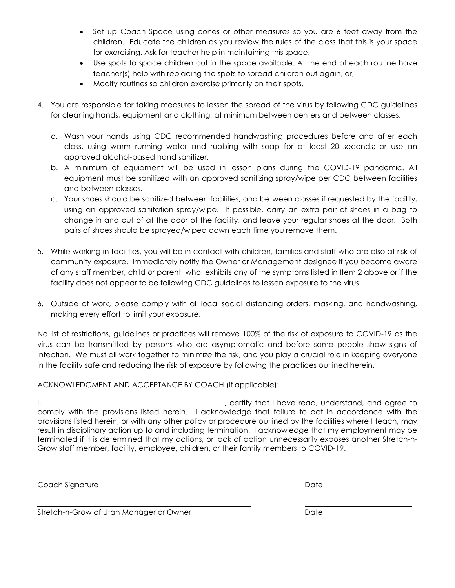- Set up Coach Space using cones or other measures so you are 6 feet away from the children. Educate the children as you review the rules of the class that this is your space for exercising. Ask for teacher help in maintaining this space.
- Use spots to space children out in the space available. At the end of each routine have teacher(s) help with replacing the spots to spread children out again, or,
- Modify routines so children exercise primarily on their spots.
- 4. You are responsible for taking measures to lessen the spread of the virus by following CDC guidelines for cleaning hands, equipment and clothing, at minimum between centers and between classes.
	- a. Wash your hands using CDC recommended handwashing procedures before and after each class, using warm running water and rubbing with soap for at least 20 seconds; or use an approved alcohol-based hand sanitizer.
	- b. A minimum of equipment will be used in lesson plans during the COVID-19 pandemic. All equipment must be sanitized with an approved sanitizing spray/wipe per CDC between facilities and between classes.
	- c. Your shoes should be sanitized between facilities, and between classes if requested by the facility, using an approved sanitation spray/wipe. If possible, carry an extra pair of shoes in a bag to change in and out of at the door of the facility, and leave your regular shoes at the door. Both pairs of shoes should be sprayed/wiped down each time you remove them.
- 5. While working in facilities, you will be in contact with children, families and staff who are also at risk of community exposure. Immediately notify the Owner or Management designee if you become aware of any staff member, child or parent who exhibits any of the symptoms listed in Item 2 above or if the facility does not appear to be following CDC guidelines to lessen exposure to the virus.
- 6. Outside of work, please comply with all local social distancing orders, masking, and handwashing, making every effort to limit your exposure.

No list of restrictions, guidelines or practices will remove 100% of the risk of exposure to COVID-19 as the virus can be transmitted by persons who are asymptomatic and before some people show signs of infection. We must all work together to minimize the risk, and you play a crucial role in keeping everyone in the facility safe and reducing the risk of exposure by following the practices outlined herein.

ACKNOWLEDGMENT AND ACCEPTANCE BY COACH (if applicable):

I,  $\frac{1}{2}$  certify that I have read, understand, and agree to comply with the provisions listed herein. I acknowledge that failure to act in accordance with the provisions listed herein, or with any other policy or procedure outlined by the facilities where I teach, may result in disciplinary action up to and including termination. I acknowledge that my employment may be terminated if it is determined that my actions, or lack of action unnecessarily exposes another Stretch-n-Grow staff member, facility, employee, children, or their family members to COVID-19.

**Coach Signature Date of Coach Signature Date of Coach Signature Date of Coach Signature Date of Coach Signature** 

Stretch-n-Grow of Utah Manager or Owner **Date** Date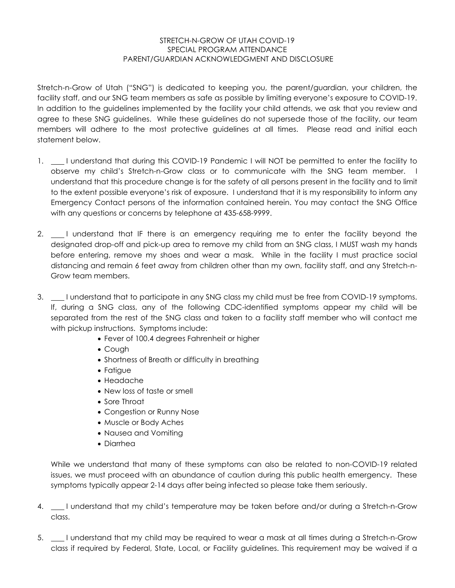## STRETCH-N-GROW OF UTAH COVID-19 SPECIAL PROGRAM ATTENDANCE PARENT/GUARDIAN ACKNOWLEDGMENT AND DISCLOSURE

Stretch-n-Grow of Utah ("SNG") is dedicated to keeping you, the parent/guardian, your children, the facility staff, and our SNG team members as safe as possible by limiting everyone's exposure to COVID-19. In addition to the guidelines implemented by the facility your child attends, we ask that you review and agree to these SNG guidelines. While these guidelines do not supersede those of the facility, our team members will adhere to the most protective guidelines at all times. Please read and initial each statement below.

- 1. I understand that during this COVID-19 Pandemic I will NOT be permitted to enter the facility to observe my child's Stretch-n-Grow class or to communicate with the SNG team member. I understand that this procedure change is for the safety of all persons present in the facility and to limit to the extent possible everyone's risk of exposure. I understand that it is my responsibility to inform any Emergency Contact persons of the information contained herein. You may contact the SNG Office with any questions or concerns by telephone at 435-658-9999.
- 2. I understand that IF there is an emergency requiring me to enter the facility beyond the designated drop-off and pick-up area to remove my child from an SNG class, I MUST wash my hands before entering, remove my shoes and wear a mask. While in the facility I must practice social distancing and remain 6 feet away from children other than my own, facility staff, and any Stretch-n-Grow team members.
- 3.  $\_\_\_\$  I understand that to participate in any SNG class my child must be free from COVID-19 symptoms. If, during a SNG class, any of the following CDC-identified symptoms appear my child will be separated from the rest of the SNG class and taken to a facility staff member who will contact me with pickup instructions. Symptoms include:
	- Fever of 100.4 degrees Fahrenheit or higher
	- Cough
	- Shortness of Breath or difficulty in breathing
	- Fatigue
	- Headache
	- New loss of taste or smell
	- Sore Throat
	- Congestion or Runny Nose
	- Muscle or Body Aches
	- Nausea and Vomiting
	- Diarrhea

While we understand that many of these symptoms can also be related to non-COVID-19 related issues, we must proceed with an abundance of caution during this public health emergency. These symptoms typically appear 2-14 days after being infected so please take them seriously.

- 4.  $\_\_\_\$ I understand that my child's temperature may be taken before and/or during a Stretch-n-Grow class.
- 5. I understand that my child may be required to wear a mask at all times during a Stretch-n-Grow class if required by Federal, State, Local, or Facility guidelines. This requirement may be waived if a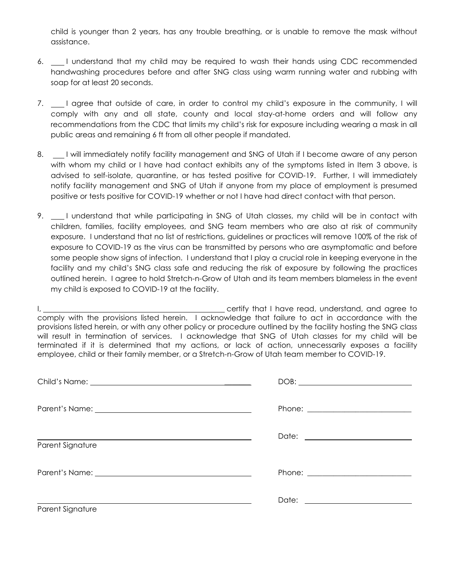child is younger than 2 years, has any trouble breathing, or is unable to remove the mask without assistance.

- 6. I understand that my child may be required to wash their hands using CDC recommended handwashing procedures before and after SNG class using warm running water and rubbing with soap for at least 20 seconds.
- 7.  $\Box$  I agree that outside of care, in order to control my child's exposure in the community, I will comply with any and all state, county and local stay-at-home orders and will follow any recommendations from the CDC that limits my child's risk for exposure including wearing a mask in all public areas and remaining 6 ft from all other people if mandated.
- 8. I will immediately notify facility management and SNG of Utah if I become aware of any person with whom my child or I have had contact exhibits any of the symptoms listed in Item 3 above, is advised to self-isolate, quarantine, or has tested positive for COVID-19. Further, I will immediately notify facility management and SNG of Utah if anyone from my place of employment is presumed positive or tests positive for COVID-19 whether or not I have had direct contact with that person.
- 9.  $\Box$  I understand that while participating in SNG of Utah classes, my child will be in contact with children, families, facility employees, and SNG team members who are also at risk of community exposure. I understand that no list of restrictions, guidelines or practices will remove 100% of the risk of exposure to COVID-19 as the virus can be transmitted by persons who are asymptomatic and before some people show signs of infection. I understand that I play a crucial role in keeping everyone in the facility and my child's SNG class safe and reducing the risk of exposure by following the practices outlined herein. I agree to hold Stretch-n-Grow of Utah and its team members blameless in the event my child is exposed to COVID-19 at the facility.

I, <u>the certify that I have read, understand, and agree to</u> certify that I have read, understand, and agree to comply with the provisions listed herein. I acknowledge that failure to act in accordance with the provisions listed herein, or with any other policy or procedure outlined by the facility hosting the SNG class will result in termination of services. I acknowledge that SNG of Utah classes for my child will be terminated if it is determined that my actions, or lack of action, unnecessarily exposes a facility employee, child or their family member, or a Stretch-n-Grow of Utah team member to COVID-19.

|                                                                                                                                                                                                                                      | $DOB: \begin{tabular}{ c c c } \hline \multicolumn{3}{ c }{\textbf{DOB}}: & \multicolumn{3}{ c }{\textbf{O}}: & \multicolumn{3}{ c }{\textbf{OOB}}: & \multicolumn{3}{ c }{\textbf{O}}: & \multicolumn{3}{ c }{\textbf{O}}: & \multicolumn{3}{ c }{\textbf{O}}: & \multicolumn{3}{ c }{\textbf{O}}: & \multicolumn{3}{ c }{\textbf{O}}: & \multicolumn{3}{ c }{\textbf{O}}: & \multicolumn{3}{ c }{\textbf{O}}: & \multicolumn{3}{ $ |
|--------------------------------------------------------------------------------------------------------------------------------------------------------------------------------------------------------------------------------------|--------------------------------------------------------------------------------------------------------------------------------------------------------------------------------------------------------------------------------------------------------------------------------------------------------------------------------------------------------------------------------------------------------------------------------------|
| Parent's Name: <u>contract and a series of the series of the series of the series of the series of the series of the series of the series of the series of the series of the series of the series of the series of the series of</u> |                                                                                                                                                                                                                                                                                                                                                                                                                                      |
| Parent Signature                                                                                                                                                                                                                     |                                                                                                                                                                                                                                                                                                                                                                                                                                      |
|                                                                                                                                                                                                                                      |                                                                                                                                                                                                                                                                                                                                                                                                                                      |
| Parent Signature                                                                                                                                                                                                                     |                                                                                                                                                                                                                                                                                                                                                                                                                                      |